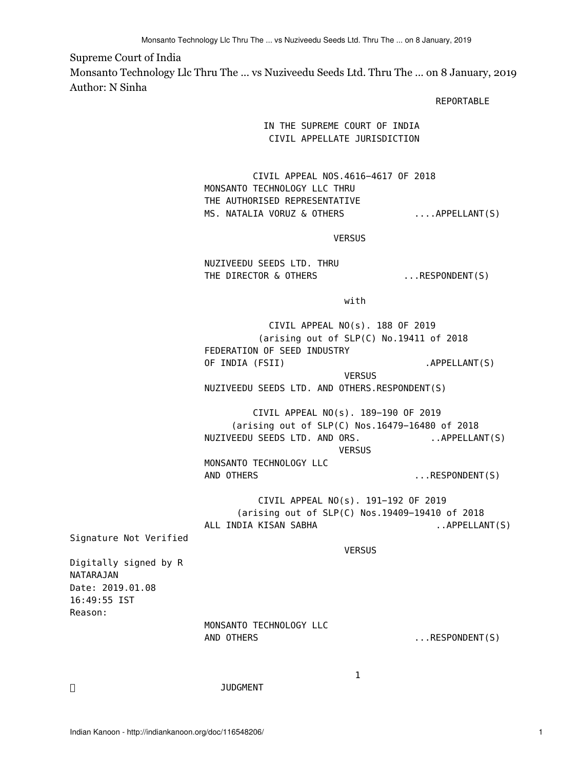## Supreme Court of India

Monsanto Technology Llc Thru The ... vs Nuziveedu Seeds Ltd. Thru The ... on 8 January, 2019 Author: N Sinha

REPORTABLE

## IN THE SUPREME COURT OF INDIA CIVIL APPELLATE JURISDICTION

 CIVIL APPEAL NOS.4616−4617 OF 2018 MONSANTO TECHNOLOGY LLC THRU THE AUTHORISED REPRESENTATIVE MS. NATALIA VORUZ & OTHERS ....APPELLANT(S)

VERSUS

 NUZIVEEDU SEEDS LTD. THRU THE DIRECTOR & OTHERS ... RESPONDENT(S)

with the contract of the contract of the contract of the contract of the contract of the contract of the contract of the contract of the contract of the contract of the contract of the contract of the contract of the contr

 CIVIL APPEAL NO(s). 188 OF 2019 (arising out of SLP(C) No.19411 of 2018 FEDERATION OF SEED INDUSTRY OF INDIA (FSII) .APPELLANT(S)

 VERSUS NUZIVEEDU SEEDS LTD. AND OTHERS.RESPONDENT(S)

 CIVIL APPEAL NO(s). 189−190 OF 2019 (arising out of SLP(C) Nos.16479−16480 of 2018 NUZIVEEDU SEEDS LTD. AND ORS. ... APPELLANT(S) VERSUS

> MONSANTO TECHNOLOGY LLC AND OTHERS ...RESPONDENT(S)

 CIVIL APPEAL NO(s). 191−192 OF 2019 (arising out of SLP(C) Nos.19409−19410 of 2018 ALL INDIA KISAN SABHA ... APPELLANT(S)

Signature Not Verified

VERSUS

Digitally signed by R NATARAJAN Date: 2019.01.08 16:49:55 IST Reason:

 MONSANTO TECHNOLOGY LLC AND OTHERS ...RESPONDENT(S)

**JUDGMENT** 

 $1$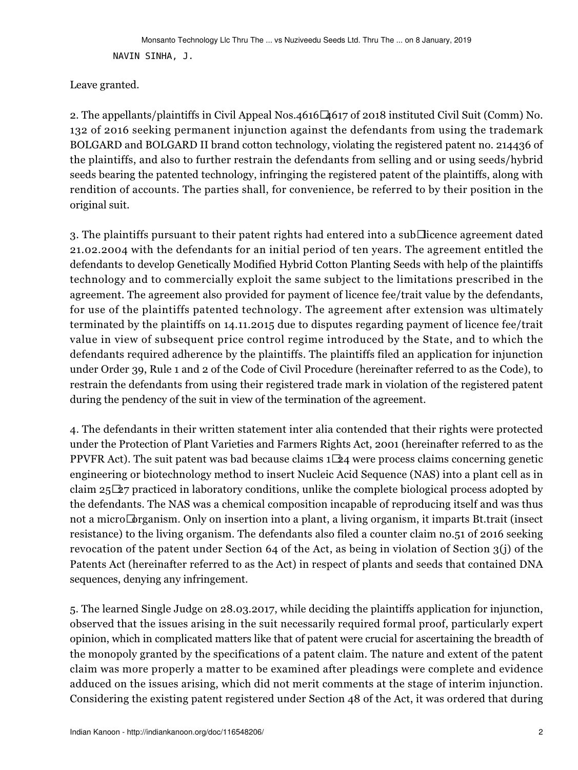NAVIN SINHA, J.

Leave granted.

2. The appellants/plaintiffs in Civil Appeal Nos.4616−4617 of 2018 instituted Civil Suit (Comm) No. 132 of 2016 seeking permanent injunction against the defendants from using the trademark BOLGARD and BOLGARD II brand cotton technology, violating the registered patent no. 214436 of the plaintiffs, and also to further restrain the defendants from selling and or using seeds/hybrid seeds bearing the patented technology, infringing the registered patent of the plaintiffs, along with rendition of accounts. The parties shall, for convenience, be referred to by their position in the original suit.

3. The plaintiffs pursuant to their patent rights had entered into a sub□icence agreement dated 21.02.2004 with the defendants for an initial period of ten years. The agreement entitled the defendants to develop Genetically Modified Hybrid Cotton Planting Seeds with help of the plaintiffs technology and to commercially exploit the same subject to the limitations prescribed in the agreement. The agreement also provided for payment of licence fee/trait value by the defendants, for use of the plaintiffs patented technology. The agreement after extension was ultimately terminated by the plaintiffs on 14.11.2015 due to disputes regarding payment of licence fee/trait value in view of subsequent price control regime introduced by the State, and to which the defendants required adherence by the plaintiffs. The plaintiffs filed an application for injunction under Order 39, Rule 1 and 2 of the Code of Civil Procedure (hereinafter referred to as the Code), to restrain the defendants from using their registered trade mark in violation of the registered patent during the pendency of the suit in view of the termination of the agreement.

4. The defendants in their written statement inter alia contended that their rights were protected under the Protection of Plant Varieties and Farmers Rights Act, 2001 (hereinafter referred to as the PPVFR Act). The suit patent was bad because claims 1 $\Box$ 24 were process claims concerning genetic engineering or biotechnology method to insert Nucleic Acid Sequence (NAS) into a plant cell as in claim 25−27 practiced in laboratory conditions, unlike the complete biological process adopted by the defendants. The NAS was a chemical composition incapable of reproducing itself and was thus not a micro $\Box$ organism. Only on insertion into a plant, a living organism, it imparts Bt.trait (insect resistance) to the living organism. The defendants also filed a counter claim no.51 of 2016 seeking revocation of the patent under Section 64 of the Act, as being in violation of Section 3(j) of the Patents Act (hereinafter referred to as the Act) in respect of plants and seeds that contained DNA sequences, denying any infringement.

5. The learned Single Judge on 28.03.2017, while deciding the plaintiffs application for injunction, observed that the issues arising in the suit necessarily required formal proof, particularly expert opinion, which in complicated matters like that of patent were crucial for ascertaining the breadth of the monopoly granted by the specifications of a patent claim. The nature and extent of the patent claim was more properly a matter to be examined after pleadings were complete and evidence adduced on the issues arising, which did not merit comments at the stage of interim injunction. Considering the existing patent registered under Section 48 of the Act, it was ordered that during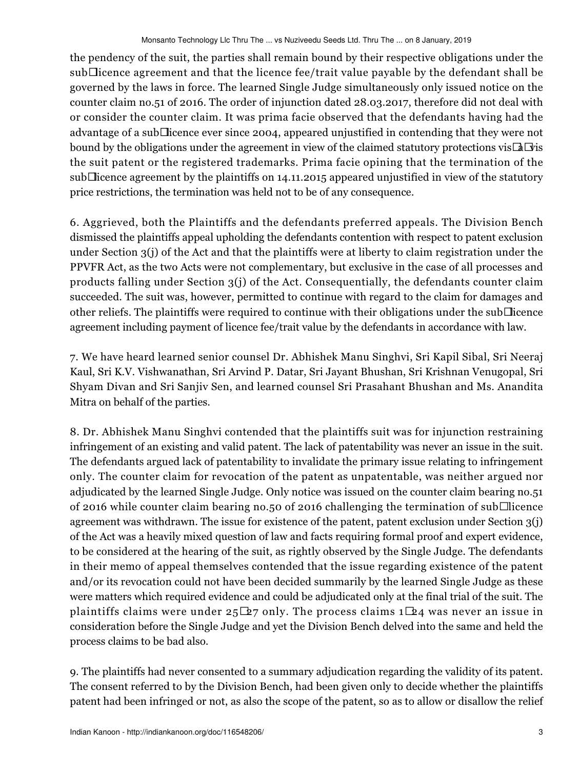the pendency of the suit, the parties shall remain bound by their respective obligations under the sub−licence agreement and that the licence fee/trait value payable by the defendant shall be governed by the laws in force. The learned Single Judge simultaneously only issued notice on the counter claim no.51 of 2016. The order of injunction dated 28.03.2017, therefore did not deal with or consider the counter claim. It was prima facie observed that the defendants having had the advantage of a sub−licence ever since 2004, appeared unjustified in contending that they were not bound by the obligations under the agreement in view of the claimed statutory protections vis−à−vis the suit patent or the registered trademarks. Prima facie opining that the termination of the sub⊡icence agreement by the plaintiffs on 14.11.2015 appeared unjustified in view of the statutory price restrictions, the termination was held not to be of any consequence.

6. Aggrieved, both the Plaintiffs and the defendants preferred appeals. The Division Bench dismissed the plaintiffs appeal upholding the defendants contention with respect to patent exclusion under Section 3(j) of the Act and that the plaintiffs were at liberty to claim registration under the PPVFR Act, as the two Acts were not complementary, but exclusive in the case of all processes and products falling under Section 3(j) of the Act. Consequentially, the defendants counter claim succeeded. The suit was, however, permitted to continue with regard to the claim for damages and other reliefs. The plaintiffs were required to continue with their obligations under the sub−licence agreement including payment of licence fee/trait value by the defendants in accordance with law.

7. We have heard learned senior counsel Dr. Abhishek Manu Singhvi, Sri Kapil Sibal, Sri Neeraj Kaul, Sri K.V. Vishwanathan, Sri Arvind P. Datar, Sri Jayant Bhushan, Sri Krishnan Venugopal, Sri Shyam Divan and Sri Sanjiv Sen, and learned counsel Sri Prasahant Bhushan and Ms. Anandita Mitra on behalf of the parties.

8. Dr. Abhishek Manu Singhvi contended that the plaintiffs suit was for injunction restraining infringement of an existing and valid patent. The lack of patentability was never an issue in the suit. The defendants argued lack of patentability to invalidate the primary issue relating to infringement only. The counter claim for revocation of the patent as unpatentable, was neither argued nor adjudicated by the learned Single Judge. Only notice was issued on the counter claim bearing no.51 of 2016 while counter claim bearing no.50 of 2016 challenging the termination of sub□ licence agreement was withdrawn. The issue for existence of the patent, patent exclusion under Section 3(j) of the Act was a heavily mixed question of law and facts requiring formal proof and expert evidence, to be considered at the hearing of the suit, as rightly observed by the Single Judge. The defendants in their memo of appeal themselves contended that the issue regarding existence of the patent and/or its revocation could not have been decided summarily by the learned Single Judge as these were matters which required evidence and could be adjudicated only at the final trial of the suit. The plaintiffs claims were under 25 $\Delta$ 7 only. The process claims 1 $\Delta$ 4 was never an issue in consideration before the Single Judge and yet the Division Bench delved into the same and held the process claims to be bad also.

9. The plaintiffs had never consented to a summary adjudication regarding the validity of its patent. The consent referred to by the Division Bench, had been given only to decide whether the plaintiffs patent had been infringed or not, as also the scope of the patent, so as to allow or disallow the relief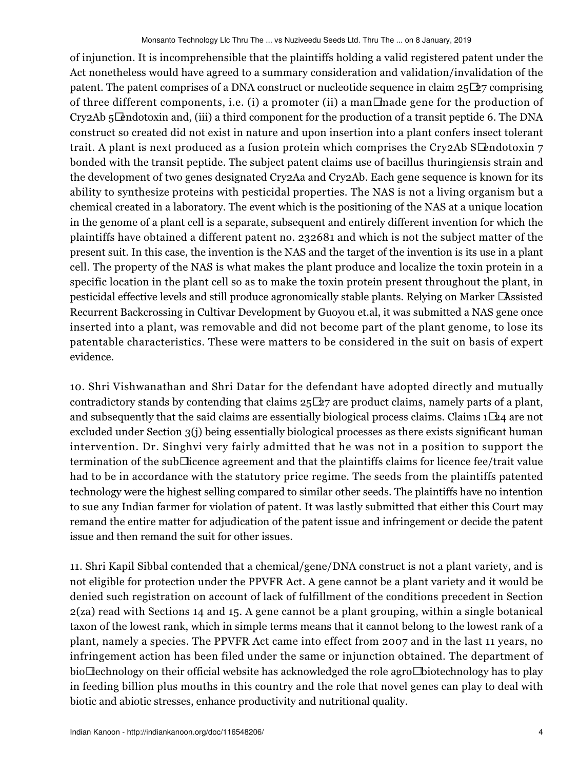of injunction. It is incomprehensible that the plaintiffs holding a valid registered patent under the Act nonetheless would have agreed to a summary consideration and validation/invalidation of the patent. The patent comprises of a DNA construct or nucleotide sequence in claim 25−27 comprising of three different components, i.e. (i) a promoter (ii) a man−made gene for the production of Cry2Ab 5−endotoxin and, (iii) a third component for the production of a transit peptide 6. The DNA construct so created did not exist in nature and upon insertion into a plant confers insect tolerant trait. A plant is next produced as a fusion protein which comprises the Cry2Ab S $□$ endotoxin 7 bonded with the transit peptide. The subject patent claims use of bacillus thuringiensis strain and the development of two genes designated Cry2Aa and Cry2Ab. Each gene sequence is known for its ability to synthesize proteins with pesticidal properties. The NAS is not a living organism but a chemical created in a laboratory. The event which is the positioning of the NAS at a unique location in the genome of a plant cell is a separate, subsequent and entirely different invention for which the plaintiffs have obtained a different patent no. 232681 and which is not the subject matter of the present suit. In this case, the invention is the NAS and the target of the invention is its use in a plant cell. The property of the NAS is what makes the plant produce and localize the toxin protein in a specific location in the plant cell so as to make the toxin protein present throughout the plant, in pesticidal effective levels and still produce agronomically stable plants. Relying on Marker −Assisted Recurrent Backcrossing in Cultivar Development by Guoyou et.al, it was submitted a NAS gene once inserted into a plant, was removable and did not become part of the plant genome, to lose its patentable characteristics. These were matters to be considered in the suit on basis of expert evidence.

10. Shri Vishwanathan and Shri Datar for the defendant have adopted directly and mutually contradictory stands by contending that claims 25−27 are product claims, namely parts of a plant, and subsequently that the said claims are essentially biological process claims. Claims 1−24 are not excluded under Section 3(j) being essentially biological processes as there exists significant human intervention. Dr. Singhvi very fairly admitted that he was not in a position to support the termination of the sub−licence agreement and that the plaintiffs claims for licence fee/trait value had to be in accordance with the statutory price regime. The seeds from the plaintiffs patented technology were the highest selling compared to similar other seeds. The plaintiffs have no intention to sue any Indian farmer for violation of patent. It was lastly submitted that either this Court may remand the entire matter for adjudication of the patent issue and infringement or decide the patent issue and then remand the suit for other issues.

11. Shri Kapil Sibbal contended that a chemical/gene/DNA construct is not a plant variety, and is not eligible for protection under the PPVFR Act. A gene cannot be a plant variety and it would be denied such registration on account of lack of fulfillment of the conditions precedent in Section 2(za) read with Sections 14 and 15. A gene cannot be a plant grouping, within a single botanical taxon of the lowest rank, which in simple terms means that it cannot belong to the lowest rank of a plant, namely a species. The PPVFR Act came into effect from 2007 and in the last 11 years, no infringement action has been filed under the same or injunction obtained. The department of bio $\Box$ echnology on their official website has acknowledged the role agro $\Box$ biotechnology has to play in feeding billion plus mouths in this country and the role that novel genes can play to deal with biotic and abiotic stresses, enhance productivity and nutritional quality.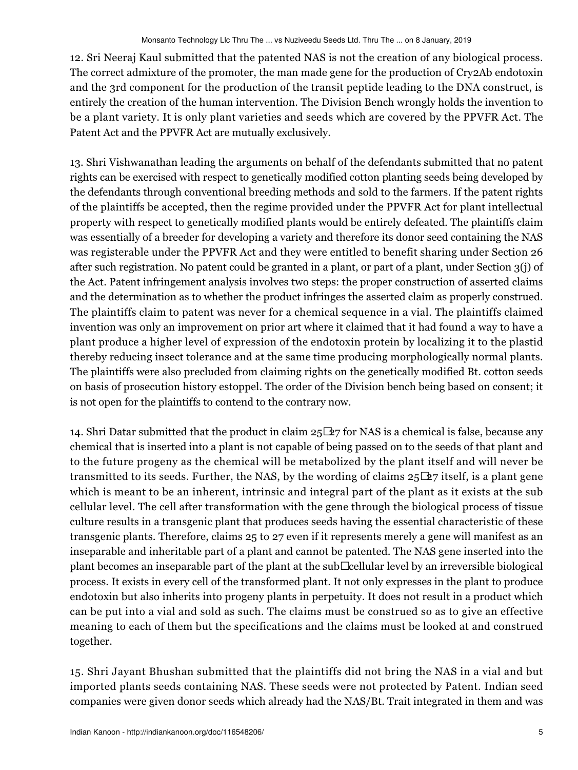12. Sri Neeraj Kaul submitted that the patented NAS is not the creation of any biological process. The correct admixture of the promoter, the man made gene for the production of Cry2Ab endotoxin and the 3rd component for the production of the transit peptide leading to the DNA construct, is entirely the creation of the human intervention. The Division Bench wrongly holds the invention to be a plant variety. It is only plant varieties and seeds which are covered by the PPVFR Act. The Patent Act and the PPVFR Act are mutually exclusively.

13. Shri Vishwanathan leading the arguments on behalf of the defendants submitted that no patent rights can be exercised with respect to genetically modified cotton planting seeds being developed by the defendants through conventional breeding methods and sold to the farmers. If the patent rights of the plaintiffs be accepted, then the regime provided under the PPVFR Act for plant intellectual property with respect to genetically modified plants would be entirely defeated. The plaintiffs claim was essentially of a breeder for developing a variety and therefore its donor seed containing the NAS was registerable under the PPVFR Act and they were entitled to benefit sharing under Section 26 after such registration. No patent could be granted in a plant, or part of a plant, under Section 3(j) of the Act. Patent infringement analysis involves two steps: the proper construction of asserted claims and the determination as to whether the product infringes the asserted claim as properly construed. The plaintiffs claim to patent was never for a chemical sequence in a vial. The plaintiffs claimed invention was only an improvement on prior art where it claimed that it had found a way to have a plant produce a higher level of expression of the endotoxin protein by localizing it to the plastid thereby reducing insect tolerance and at the same time producing morphologically normal plants. The plaintiffs were also precluded from claiming rights on the genetically modified Bt. cotton seeds on basis of prosecution history estoppel. The order of the Division bench being based on consent; it is not open for the plaintiffs to contend to the contrary now.

14. Shri Datar submitted that the product in claim 25−27 for NAS is a chemical is false, because any chemical that is inserted into a plant is not capable of being passed on to the seeds of that plant and to the future progeny as the chemical will be metabolized by the plant itself and will never be transmitted to its seeds. Further, the NAS, by the wording of claims 25−27 itself, is a plant gene which is meant to be an inherent, intrinsic and integral part of the plant as it exists at the sub cellular level. The cell after transformation with the gene through the biological process of tissue culture results in a transgenic plant that produces seeds having the essential characteristic of these transgenic plants. Therefore, claims 25 to 27 even if it represents merely a gene will manifest as an inseparable and inheritable part of a plant and cannot be patented. The NAS gene inserted into the plant becomes an inseparable part of the plant at the sub∟cellular level by an irreversible biological process. It exists in every cell of the transformed plant. It not only expresses in the plant to produce endotoxin but also inherits into progeny plants in perpetuity. It does not result in a product which can be put into a vial and sold as such. The claims must be construed so as to give an effective meaning to each of them but the specifications and the claims must be looked at and construed together.

15. Shri Jayant Bhushan submitted that the plaintiffs did not bring the NAS in a vial and but imported plants seeds containing NAS. These seeds were not protected by Patent. Indian seed companies were given donor seeds which already had the NAS/Bt. Trait integrated in them and was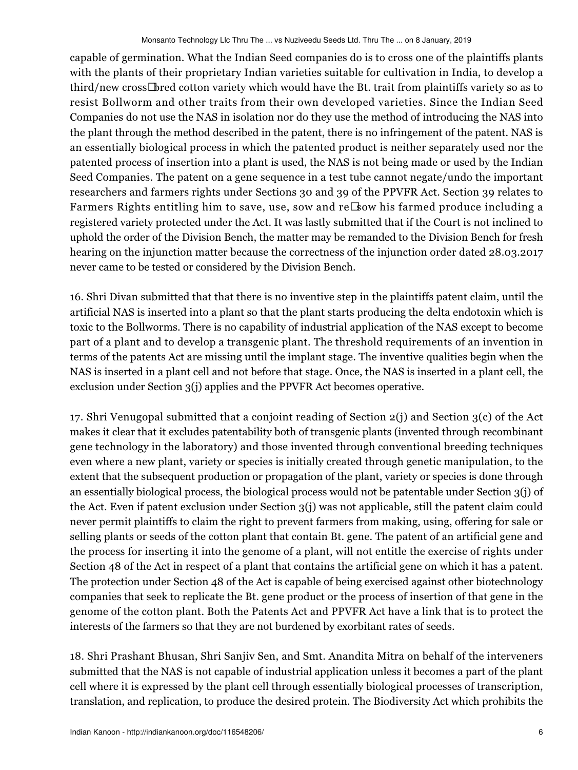capable of germination. What the Indian Seed companies do is to cross one of the plaintiffs plants with the plants of their proprietary Indian varieties suitable for cultivation in India, to develop a third/new cross−bred cotton variety which would have the Bt. trait from plaintiffs variety so as to resist Bollworm and other traits from their own developed varieties. Since the Indian Seed Companies do not use the NAS in isolation nor do they use the method of introducing the NAS into the plant through the method described in the patent, there is no infringement of the patent. NAS is an essentially biological process in which the patented product is neither separately used nor the patented process of insertion into a plant is used, the NAS is not being made or used by the Indian Seed Companies. The patent on a gene sequence in a test tube cannot negate/undo the important researchers and farmers rights under Sections 30 and 39 of the PPVFR Act. Section 39 relates to Farmers Rights entitling him to save, use, sow and re⊡sow his farmed produce including a registered variety protected under the Act. It was lastly submitted that if the Court is not inclined to uphold the order of the Division Bench, the matter may be remanded to the Division Bench for fresh hearing on the injunction matter because the correctness of the injunction order dated 28.03.2017 never came to be tested or considered by the Division Bench.

16. Shri Divan submitted that that there is no inventive step in the plaintiffs patent claim, until the artificial NAS is inserted into a plant so that the plant starts producing the delta endotoxin which is toxic to the Bollworms. There is no capability of industrial application of the NAS except to become part of a plant and to develop a transgenic plant. The threshold requirements of an invention in terms of the patents Act are missing until the implant stage. The inventive qualities begin when the NAS is inserted in a plant cell and not before that stage. Once, the NAS is inserted in a plant cell, the exclusion under Section 3(j) applies and the PPVFR Act becomes operative.

17. Shri Venugopal submitted that a conjoint reading of Section 2(j) and Section 3(c) of the Act makes it clear that it excludes patentability both of transgenic plants (invented through recombinant gene technology in the laboratory) and those invented through conventional breeding techniques even where a new plant, variety or species is initially created through genetic manipulation, to the extent that the subsequent production or propagation of the plant, variety or species is done through an essentially biological process, the biological process would not be patentable under Section 3(j) of the Act. Even if patent exclusion under Section 3(j) was not applicable, still the patent claim could never permit plaintiffs to claim the right to prevent farmers from making, using, offering for sale or selling plants or seeds of the cotton plant that contain Bt. gene. The patent of an artificial gene and the process for inserting it into the genome of a plant, will not entitle the exercise of rights under Section 48 of the Act in respect of a plant that contains the artificial gene on which it has a patent. The protection under Section 48 of the Act is capable of being exercised against other biotechnology companies that seek to replicate the Bt. gene product or the process of insertion of that gene in the genome of the cotton plant. Both the Patents Act and PPVFR Act have a link that is to protect the interests of the farmers so that they are not burdened by exorbitant rates of seeds.

18. Shri Prashant Bhusan, Shri Sanjiv Sen, and Smt. Anandita Mitra on behalf of the interveners submitted that the NAS is not capable of industrial application unless it becomes a part of the plant cell where it is expressed by the plant cell through essentially biological processes of transcription, translation, and replication, to produce the desired protein. The Biodiversity Act which prohibits the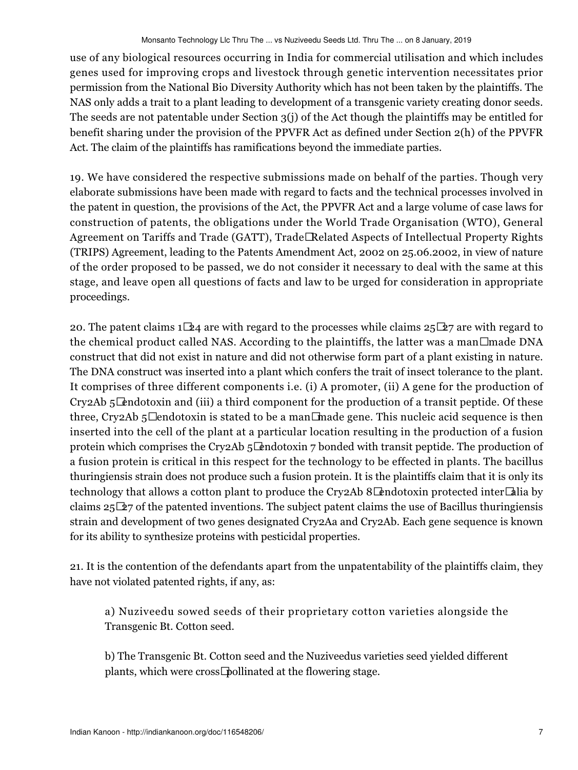use of any biological resources occurring in India for commercial utilisation and which includes genes used for improving crops and livestock through genetic intervention necessitates prior permission from the National Bio Diversity Authority which has not been taken by the plaintiffs. The NAS only adds a trait to a plant leading to development of a transgenic variety creating donor seeds. The seeds are not patentable under Section 3(j) of the Act though the plaintiffs may be entitled for benefit sharing under the provision of the PPVFR Act as defined under Section 2(h) of the PPVFR Act. The claim of the plaintiffs has ramifications beyond the immediate parties.

19. We have considered the respective submissions made on behalf of the parties. Though very elaborate submissions have been made with regard to facts and the technical processes involved in the patent in question, the provisions of the Act, the PPVFR Act and a large volume of case laws for construction of patents, the obligations under the World Trade Organisation (WTO), General Agreement on Tariffs and Trade (GATT), Trade□Related Aspects of Intellectual Property Rights (TRIPS) Agreement, leading to the Patents Amendment Act, 2002 on 25.06.2002, in view of nature of the order proposed to be passed, we do not consider it necessary to deal with the same at this stage, and leave open all questions of facts and law to be urged for consideration in appropriate proceedings.

20. The patent claims 1 $\Box 24$  are with regard to the processes while claims 25 $\Box 27$  are with regard to the chemical product called NAS. According to the plaintiffs, the latter was a man□ made DNA construct that did not exist in nature and did not otherwise form part of a plant existing in nature. The DNA construct was inserted into a plant which confers the trait of insect tolerance to the plant. It comprises of three different components i.e. (i) A promoter, (ii) A gene for the production of Cry2Ab 5−endotoxin and (iii) a third component for the production of a transit peptide. Of these three, Cry2Ab 5□ endotoxin is stated to be a man□made gene. This nucleic acid sequence is then inserted into the cell of the plant at a particular location resulting in the production of a fusion protein which comprises the Cry2Ab 5 $□$ endotoxin 7 bonded with transit peptide. The production of a fusion protein is critical in this respect for the technology to be effected in plants. The bacillus thuringiensis strain does not produce such a fusion protein. It is the plaintiffs claim that it is only its technology that allows a cotton plant to produce the Cry2Ab 8 $\Box$ endotoxin protected inter $\Box$ alia by claims 25−27 of the patented inventions. The subject patent claims the use of Bacillus thuringiensis strain and development of two genes designated Cry2Aa and Cry2Ab. Each gene sequence is known for its ability to synthesize proteins with pesticidal properties.

21. It is the contention of the defendants apart from the unpatentability of the plaintiffs claim, they have not violated patented rights, if any, as:

a) Nuziveedu sowed seeds of their proprietary cotton varieties alongside the Transgenic Bt. Cotton seed.

b) The Transgenic Bt. Cotton seed and the Nuziveedus varieties seed yielded different plants, which were cross−pollinated at the flowering stage.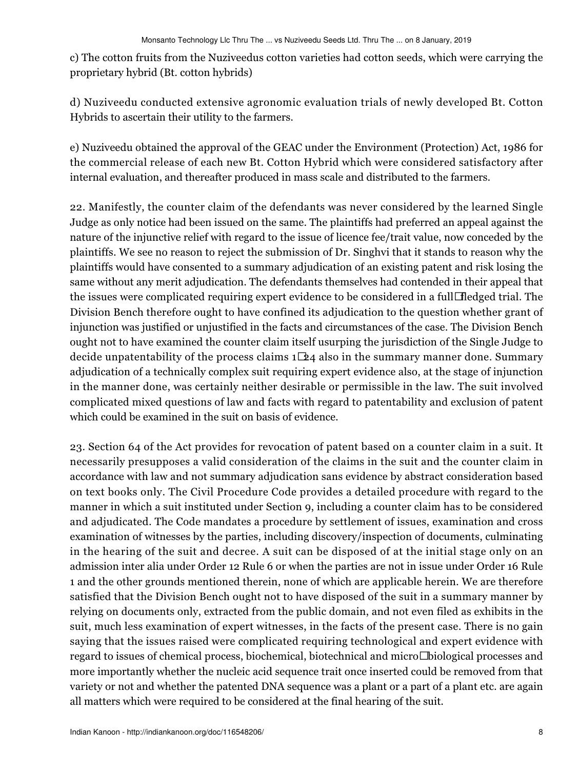c) The cotton fruits from the Nuziveedus cotton varieties had cotton seeds, which were carrying the proprietary hybrid (Bt. cotton hybrids)

d) Nuziveedu conducted extensive agronomic evaluation trials of newly developed Bt. Cotton Hybrids to ascertain their utility to the farmers.

e) Nuziveedu obtained the approval of the GEAC under the Environment (Protection) Act, 1986 for the commercial release of each new Bt. Cotton Hybrid which were considered satisfactory after internal evaluation, and thereafter produced in mass scale and distributed to the farmers.

22. Manifestly, the counter claim of the defendants was never considered by the learned Single Judge as only notice had been issued on the same. The plaintiffs had preferred an appeal against the nature of the injunctive relief with regard to the issue of licence fee/trait value, now conceded by the plaintiffs. We see no reason to reject the submission of Dr. Singhvi that it stands to reason why the plaintiffs would have consented to a summary adjudication of an existing patent and risk losing the same without any merit adjudication. The defendants themselves had contended in their appeal that the issues were complicated requiring expert evidence to be considered in a full−fledged trial. The Division Bench therefore ought to have confined its adjudication to the question whether grant of injunction was justified or unjustified in the facts and circumstances of the case. The Division Bench ought not to have examined the counter claim itself usurping the jurisdiction of the Single Judge to decide unpatentability of the process claims 1−24 also in the summary manner done. Summary adjudication of a technically complex suit requiring expert evidence also, at the stage of injunction in the manner done, was certainly neither desirable or permissible in the law. The suit involved complicated mixed questions of law and facts with regard to patentability and exclusion of patent which could be examined in the suit on basis of evidence.

23. Section 64 of the Act provides for revocation of patent based on a counter claim in a suit. It necessarily presupposes a valid consideration of the claims in the suit and the counter claim in accordance with law and not summary adjudication sans evidence by abstract consideration based on text books only. The Civil Procedure Code provides a detailed procedure with regard to the manner in which a suit instituted under Section 9, including a counter claim has to be considered and adjudicated. The Code mandates a procedure by settlement of issues, examination and cross examination of witnesses by the parties, including discovery/inspection of documents, culminating in the hearing of the suit and decree. A suit can be disposed of at the initial stage only on an admission inter alia under Order 12 Rule 6 or when the parties are not in issue under Order 16 Rule 1 and the other grounds mentioned therein, none of which are applicable herein. We are therefore satisfied that the Division Bench ought not to have disposed of the suit in a summary manner by relying on documents only, extracted from the public domain, and not even filed as exhibits in the suit, much less examination of expert witnesses, in the facts of the present case. There is no gain saying that the issues raised were complicated requiring technological and expert evidence with regard to issues of chemical process, biochemical, biotechnical and micro $\Box$ biological processes and more importantly whether the nucleic acid sequence trait once inserted could be removed from that variety or not and whether the patented DNA sequence was a plant or a part of a plant etc. are again all matters which were required to be considered at the final hearing of the suit.